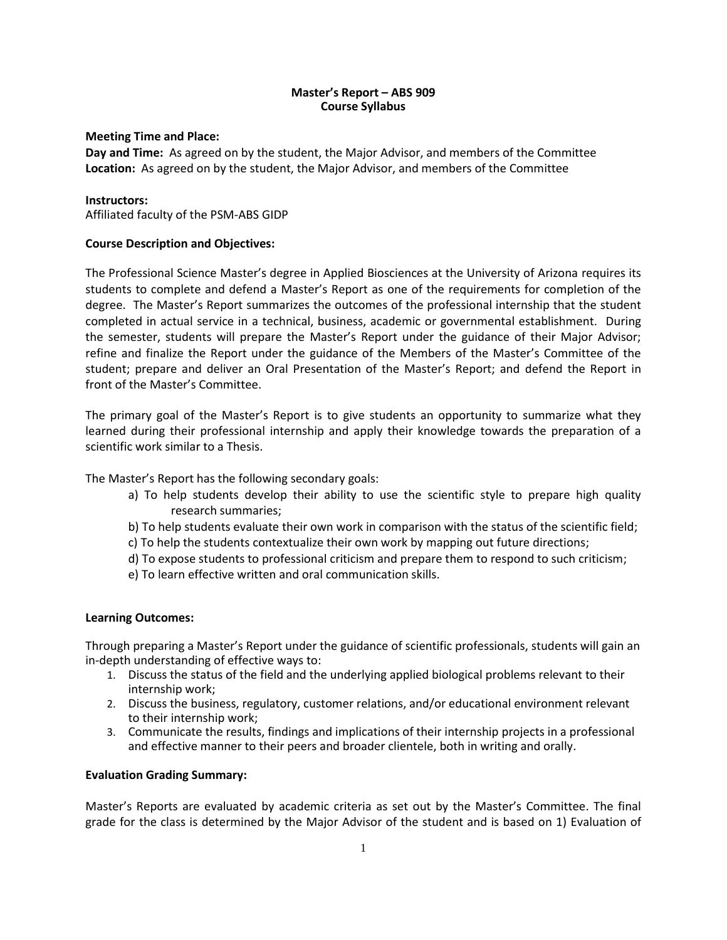# **Master's Report – ABS 909 Course Syllabus**

# **Meeting Time and Place:**

**Day and Time:** As agreed on by the student, the Major Advisor, and members of the Committee **Location:** As agreed on by the student, the Major Advisor, and members of the Committee

# **Instructors:**

Affiliated faculty of the PSM-ABS GIDP

# **Course Description and Objectives:**

The Professional Science Master's degree in Applied Biosciences at the University of Arizona requires its students to complete and defend a Master's Report as one of the requirements for completion of the degree. The Master's Report summarizes the outcomes of the professional internship that the student completed in actual service in a technical, business, academic or governmental establishment. During the semester, students will prepare the Master's Report under the guidance of their Major Advisor; refine and finalize the Report under the guidance of the Members of the Master's Committee of the student; prepare and deliver an Oral Presentation of the Master's Report; and defend the Report in front of the Master's Committee.

The primary goal of the Master's Report is to give students an opportunity to summarize what they learned during their professional internship and apply their knowledge towards the preparation of a scientific work similar to a Thesis.

The Master's Report has the following secondary goals:

- a) To help students develop their ability to use the scientific style to prepare high quality research summaries;
- b) To help students evaluate their own work in comparison with the status of the scientific field;
- c) To help the students contextualize their own work by mapping out future directions;
- d) To expose students to professional criticism and prepare them to respond to such criticism;
- e) To learn effective written and oral communication skills.

## **Learning Outcomes:**

Through preparing a Master's Report under the guidance of scientific professionals, students will gain an in-depth understanding of effective ways to:

- 1. Discuss the status of the field and the underlying applied biological problems relevant to their internship work;
- 2. Discuss the business, regulatory, customer relations, and/or educational environment relevant to their internship work;
- 3. Communicate the results, findings and implications of their internship projects in a professional and effective manner to their peers and broader clientele, both in writing and orally.

## **Evaluation Grading Summary:**

Master's Reports are evaluated by academic criteria as set out by the Master's Committee. The final grade for the class is determined by the Major Advisor of the student and is based on 1) Evaluation of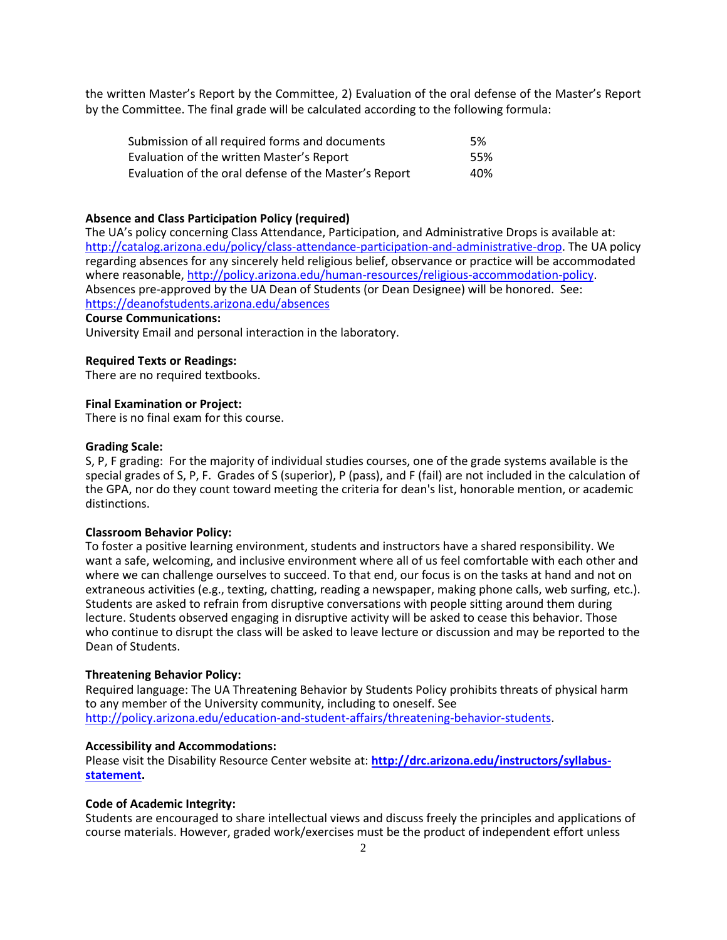the written Master's Report by the Committee, 2) Evaluation of the oral defense of the Master's Report by the Committee. The final grade will be calculated according to the following formula:

| Submission of all required forms and documents        | .5% |
|-------------------------------------------------------|-----|
| Evaluation of the written Master's Report             | 55% |
| Evaluation of the oral defense of the Master's Report | 40% |

#### **Absence and Class Participation Policy (required)**

The UA's policy concerning Class Attendance, Participation, and Administrative Drops is available at: [http://catalog.arizona.edu/policy/class-attendance-participation-and-administrative-drop.](http://catalog.arizona.edu/policy/class-attendance-participation-and-administrative-drop) The UA policy regarding absences for any sincerely held religious belief, observance or practice will be accommodated where reasonable[, http://policy.arizona.edu/human-resources/religious-accommodation-policy.](http://policy.arizona.edu/human-resources/religious-accommodation-policy) Absences pre-approved by the UA Dean of Students (or Dean Designee) will be honored. See: <https://deanofstudents.arizona.edu/absences>

#### **Course Communications:**

University Email and personal interaction in the laboratory.

#### **Required Texts or Readings:**

There are no required textbooks.

### **Final Examination or Project:**

There is no final exam for this course.

#### **Grading Scale:**

S, P, F grading: For the majority of individual studies courses, one of the grade systems available is the special grades of S, P, F. Grades of S (superior), P (pass), and F (fail) are not included in the calculation of the GPA, nor do they count toward meeting the criteria for dean's list, honorable mention, or academic distinctions.

#### **Classroom Behavior Policy:**

To foster a positive learning environment, students and instructors have a shared responsibility. We want a safe, welcoming, and inclusive environment where all of us feel comfortable with each other and where we can challenge ourselves to succeed. To that end, our focus is on the tasks at hand and not on extraneous activities (e.g., texting, chatting, reading a newspaper, making phone calls, web surfing, etc.). Students are asked to refrain from disruptive conversations with people sitting around them during lecture. Students observed engaging in disruptive activity will be asked to cease this behavior. Those who continue to disrupt the class will be asked to leave lecture or discussion and may be reported to the Dean of Students.

#### **Threatening Behavior Policy:**

Required language: The UA Threatening Behavior by Students Policy prohibits threats of physical harm to any member of the University community, including to oneself. See [http://policy.arizona.edu/education-and-student-affairs/threatening-behavior-students.](http://policy.arizona.edu/education-and-student-affairs/threatening-behavior-students)

#### **Accessibility and Accommodations:**

Please visit the Disability Resource Center website at: **[http://drc.arizona.edu/instructors/syllabus](http://drc.arizona.edu/instructors/syllabus-statement)[statement.](http://drc.arizona.edu/instructors/syllabus-statement)** 

## **Code of Academic Integrity:**

Students are encouraged to share intellectual views and discuss freely the principles and applications of course materials. However, graded work/exercises must be the product of independent effort unless